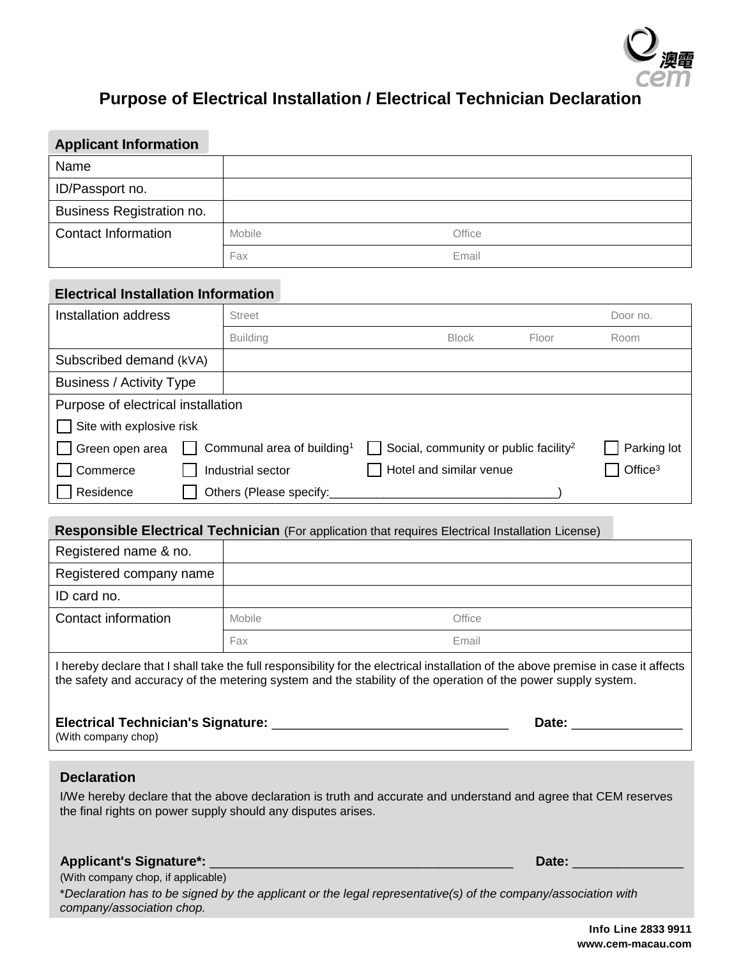

## **Purpose of Electrical Installation / Electrical Technician Declaration**

# **Applicant Information** Name ID/Passport no. Business Registration no. **Contact Information** Mobile Mobile **Contact Information** Fax Email **Electrical Installation Information Installation address** Street Street **Street Street Street Street Street Street Street Street Street Street Street Street Street Street Street Street Street Street Street Street Street Street Street Street Street Street St** Building Block Floor Room Subscribed demand (kVA) Business / Activity Type Purpose of electrical installation  $\Box$  Site with explosive risk Green open area  $\Box$  Communal area of building<sup>1</sup>  $\Box$  Social, community or public facility<sup>2</sup>  $\Box$  Parking lot Commerce  $\Box$  Industrial sector  $\Box$  Hotel and similar venue  $\Box$  Office<sup>3</sup>  $\Box$  Residence  $\Box$  Others (Please specify:

| Responsible Electrical Technician (For application that requires Electrical Installation License)                                                                                                                                                   |        |        |  |
|-----------------------------------------------------------------------------------------------------------------------------------------------------------------------------------------------------------------------------------------------------|--------|--------|--|
| Registered name & no.                                                                                                                                                                                                                               |        |        |  |
| Registered company name                                                                                                                                                                                                                             |        |        |  |
| ID card no.                                                                                                                                                                                                                                         |        |        |  |
| Contact information                                                                                                                                                                                                                                 | Mobile | Office |  |
|                                                                                                                                                                                                                                                     | Fax    | Email  |  |
| I hereby declare that I shall take the full responsibility for the electrical installation of the above premise in case it affects<br>the safety and accuracy of the metering system and the stability of the operation of the power supply system. |        |        |  |

| <b>Electrical Technician's Signature:</b> | Date: |
|-------------------------------------------|-------|
| (With company chop)                       |       |

### **Declaration**

I/We hereby declare that the above declaration is truth and accurate and understand and agree that CEM reserves the final rights on power supply should any disputes arises.

#### **Applicant's Signature\*:** \_\_\_\_\_\_\_\_\_\_\_\_\_\_\_\_\_\_\_\_\_\_\_\_\_\_\_\_\_\_\_\_\_\_\_\_\_\_\_\_\_ **Date:** \_\_\_\_\_\_\_\_\_\_\_\_\_\_\_

(With company chop, if applicable)

\**Declaration has to be signed by the applicant or the legal representative(s) of the company/association with company/association chop.*